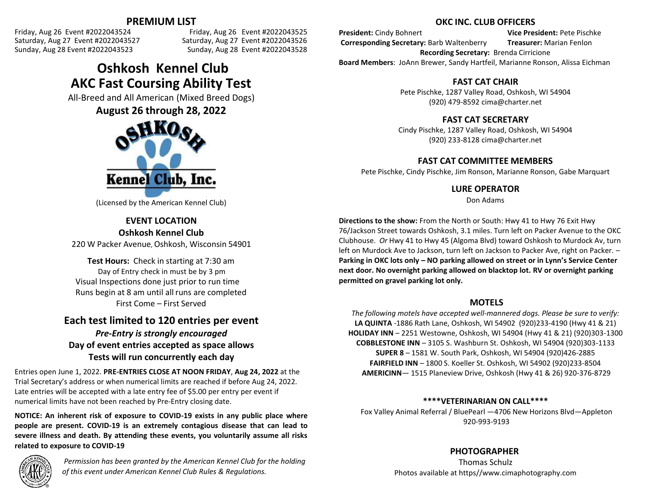**PREMIUM LIST**<br>Friday, Aug 26 Event #2022043524 Friday, Aug 26 Event #2022043524 Friday, Aug 26 Event #2022043524 Friday, Aug 26 Event #2022043525 Sunday, Aug 28 Event #2022043523 Sunday, Aug 28 Event #2022043528

Saturday, Aug 27 Event #2022043526

# **Oshkosh Kennel Club AKC Fast Coursing Ability Test**

All-Breed and All American (Mixed Breed Dogs)

**August 26 through 28, 2022**



(Licensed by the American Kennel Club)

### **EVENT LOCATION Oshkosh Kennel Club**

220 W Packer Avenue, Oshkosh, Wisconsin 54901

**Test Hours:** Check in starting at 7:30 am Day of Entry check in must be by 3 pm Visual Inspections done just prior to run time Runs begin at 8 am until all runs are completed First Come – First Served

## **Each test limited to 120 entries per event** *Pre-Entry is strongly encouraged* **Day of event entries accepted as space allows**

**Tests will run concurrently each day**

Entries open June 1, 2022. **PRE-ENTRIES CLOSE AT NOON FRIDAY**, **Aug 24, 2022** at the Trial Secretary's address or when numerical limits are reached if before Aug 24, 2022. Late entries will be accepted with a late entry fee of \$5.00 per entry per event if numerical limits have not been reached by Pre-Entry closing date.

**NOTICE: An inherent risk of exposure to COVID-19 exists in any public place where people are present. COVID-19 is an extremely contagious disease that can lead to severe illness and death. By attending these events, you voluntarily assume all risks related to exposure to COVID-19**



*Permission has been granted by the American Kennel Club for the holding of this event under American Kennel Club Rules & Regulations.*

### **OKC INC. CLUB OFFICERS**

**President:** Cindy Bohnert **Vice President:** Pete Pischke **Corresponding Secretary:** Barb Waltenberry **Treasurer:** Marian Fenlon **Recording Secretary:** Brenda Cirricione **Board Members**: JoAnn Brewer, Sandy Hartfeil, Marianne Ronson, Alissa Eichman

### **FAST CAT CHAIR**

Pete Pischke, 1287 Valley Road, Oshkosh, WI 54904 (920) 479-8592 [cima@charter.net](mailto:cima@charter.net)

## **FAST CAT SECRETARY**

Cindy Pischke, 1287 Valley Road, Oshkosh, WI 54904 (920) 233-8128 [cima@charter.net](mailto:cima@charter.net)

### **FAST CAT COMMITTEE MEMBERS**

Pete Pischke, Cindy Pischke, Jim Ronson, Marianne Ronson, Gabe Marquart

### **LURE OPERATOR**

Don Adams

**Directions to the show:** From the North or South: Hwy 41 to Hwy 76 Exit Hwy 76/Jackson Street towards Oshkosh, 3.1 miles. Turn left on Packer Avenue to the OKC Clubhouse. *Or* Hwy 41 to Hwy 45 (Algoma Blvd) toward Oshkosh to Murdock Av, turn left on Murdock Ave to Jackson, turn left on Jackson to Packer Ave, right on Packer. -**Parking in OKC lots only – NO parking allowed on street or in Lynn's Service Center next door. No overnight parking allowed on blacktop lot. RV or overnight parking permitted on gravel parking lot only.**

### **MOTELS**

*The following motels have accepted well-mannered dogs. Please be sure to verify:* **LA QUINTA** -1886 Rath Lane, Oshkosh, WI 54902 (920)233-4190 (Hwy 41 & 21) **HOLIDAY INN** – 2251 Westowne, Oshkosh, WI 54904 (Hwy 41 & 21) (920)303-1300 **COBBLESTONE INN** – 3105 S. Washburn St. Oshkosh, WI 54904 (920)303-1133 **SUPER 8** – 1581 W. South Park, Oshkosh, WI 54904 (920)426-2885 **FAIRFIELD INN** – 1800 S. Koeller St. Oshkosh, WI 54902 (920)233-8504 **AMERICINN**— 1515 Planeview Drive, Oshkosh (Hwy 41 & 26) 920-376-8729

### **\*\*\*\*VETERINARIAN ON CALL\*\*\*\***

Fox Valley Animal Referral / BluePearl —4706 New Horizons Blvd—Appleton 920-993-9193

### **PHOTOGRAPHER**

Thomas Schulz Photos available at https//www.cimaphotography.com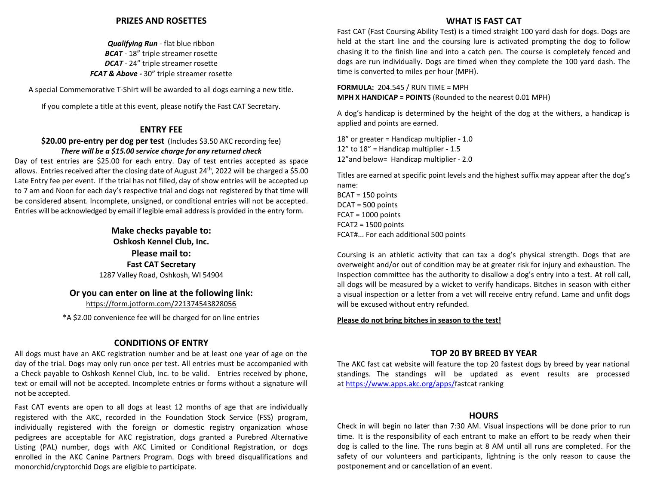#### **PRIZES AND ROSETTES**

*Qualifying Run* - flat blue ribbon *BCAT* - 18" triple streamer rosette *DCAT* - 24" triple streamer rosette *FCAT & Above -* 30" triple streamer rosette

A special Commemorative T-Shirt will be awarded to all dogs earning a new title.

If you complete a title at this event, please notify the Fast CAT Secretary.

#### **ENTRY FEE**

**\$20.00 pre-entry per dog per test** (Includes \$3.50 AKC recording fee) *There will be a \$15.00 service charge for any returned check*

Day of test entries are \$25.00 for each entry. Day of test entries accepted as space allows. Entries received after the closing date of August 24<sup>th</sup>, 2022 will be charged a \$5.00 Late Entry fee per event. If the trial has not filled, day of show entries will be accepted up to 7 am and Noon for each day's respective trial and dogs not registered by that time will be considered absent. Incomplete, unsigned, or conditional entries will not be accepted. Entries will be acknowledged by email if legible email addressis provided in the entry form.

> **Make checks payable to: Oshkosh Kennel Club, Inc. Please mail to: Fast CAT Secretary** 1287 Valley Road, Oshkosh, WI 54904

### **Or you can enter on line at the following link:**

https://form.jotform.com/221374543828056

\*A \$2.00 convenience fee will be charged for on line entries

#### **CONDITIONS OF ENTRY**

All dogs must have an AKC registration number and be at least one year of age on the day of the trial. Dogs may only run once per test. All entries must be accompanied with a Check payable to Oshkosh Kennel Club, Inc. to be valid. Entries received by phone, text or email will not be accepted. Incomplete entries or forms without a signature will not be accepted.

Fast CAT events are open to all dogs at least 12 months of age that are individually registered with the AKC, recorded in the Foundation Stock Service (FSS) program, individually registered with the foreign or domestic registry organization whose pedigrees are acceptable for AKC registration, dogs granted a Purebred Alternative Listing (PAL) number, dogs with AKC Limited or Conditional Registration, or dogs enrolled in the AKC Canine Partners Program. Dogs with breed disqualifications and monorchid/cryptorchid Dogs are eligible to participate.

#### **WHAT IS FAST CAT**

Fast CAT (Fast Coursing Ability Test) is a timed straight 100 yard dash for dogs. Dogs are held at the start line and the coursing lure is activated prompting the dog to follow chasing it to the finish line and into a catch pen. The course is completely fenced and dogs are run individually. Dogs are timed when they complete the 100 yard dash. The time is converted to miles per hour (MPH).

**FORMULA:** 204.545 / RUN TIME = MPH **MPH X HANDICAP = POINTS** (Rounded to the nearest 0.01 MPH)

A dog's handicap is determined by the height of the dog at the withers, a handicap is applied and points are earned.

18" or greater = Handicap multiplier - 1.0 12" to 18" = Handicap multiplier - 1.5 12"and below= Handicap multiplier - 2.0

Titles are earned at specific point levels and the highest suffix may appear after the dog's name: BCAT = 150 points DCAT = 500 points FCAT = 1000 points FCAT2 = 1500 points FCAT#... For each additional 500 points

Coursing is an athletic activity that can tax a dog's physical strength. Dogs that are overweight and/or out of condition may be at greater risk for injury and exhaustion. The Inspection committee has the authority to disallow a dog's entry into a test. At roll call, all dogs will be measured by a wicket to verify handicaps. Bitches in season with either a visual inspection or a letter from a vet will receive entry refund. Lame and unfit dogs will be excused without entry refunded.

#### **Please do not bring bitches in season to the test!**

#### **TOP 20 BY BREED BY YEAR**

The AKC fast cat website will feature the top 20 fastest dogs by breed by year national standings. The standings will be updated as event results are processed at https:[//www.apps.akc.org/apps/fastcat](http://www.apps.akc.org/apps/fastcat) ranking

#### **HOURS**

Check in will begin no later than 7:30 AM. Visual inspections will be done prior to run time. It is the responsibility of each entrant to make an effort to be ready when their dog is called to the line. The runs begin at 8 AM until all runs are completed. For the safety of our volunteers and participants, lightning is the only reason to cause the postponement and or cancellation of an event.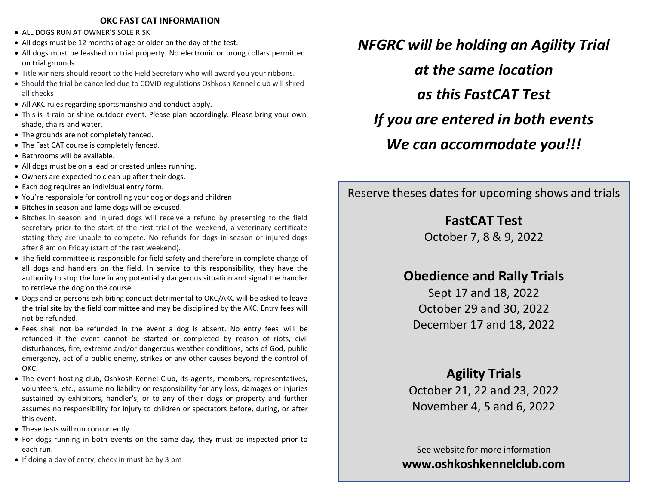### **OKC FAST CAT INFORMATION**

- ALL DOGS RUN AT OWNER'S SOLE RISK
- All dogs must be 12 months of age or older on the day of the test.
- All dogs must be leashed on trial property. No electronic or prong collars permitted on trial grounds.
- Title winners should report to the Field Secretary who will award you your ribbons.
- Should the trial be cancelled due to COVID regulations Oshkosh Kennel club will shred all checks
- All AKC rules regarding sportsmanship and conduct apply.
- This is it rain or shine outdoor event. Please plan accordingly. Please bring your own shade, chairs and water.
- The grounds are not completely fenced.
- The Fast CAT course is completely fenced.
- Bathrooms will be available.
- All dogs must be on a lead or created unless running.
- Owners are expected to clean up after their dogs.
- Each dog requires an individual entry form.
- You're responsible for controlling your dog or dogs and children.
- Bitches in season and lame dogs will be excused.
- Bitches in season and injured dogs will receive a refund by presenting to the field secretary prior to the start of the first trial of the weekend, a veterinary certificate stating they are unable to compete. No refunds for dogs in season or injured dogs after 8 am on Friday (start of the test weekend).
- The field committee is responsible for field safety and therefore in complete charge of all dogs and handlers on the field. In service to this responsibility, they have the authority to stop the lure in any potentially dangerous situation and signal the handler to retrieve the dog on the course.
- Dogs and or persons exhibiting conduct detrimental to OKC/AKC will be asked to leave the trial site by the field committee and may be disciplined by the AKC. Entry fees will not be refunded.
- Fees shall not be refunded in the event a dog is absent. No entry fees will be refunded if the event cannot be started or completed by reason of riots, civil disturbances, fire, extreme and/or dangerous weather conditions, acts of God, public emergency, act of a public enemy, strikes or any other causes beyond the control of OKC.
- The event hosting club, Oshkosh Kennel Club, its agents, members, representatives, volunteers, etc., assume no liability or responsibility for any loss, damages or injuries sustained by exhibitors, handler's, or to any of their dogs or property and further assumes no responsibility for injury to children or spectators before, during, or after this event.
- These tests will run concurrently.
- For dogs running in both events on the same day, they must be inspected prior to each run.
- If doing a day of entry, check in must be by 3 pm

*NFGRC will be holding an Agility Trial at the same location as this FastCAT Test If you are entered in both events We can accommodate you!!!*

Reserve theses dates for upcoming shows and trials

# **FastCAT Test**

October 7, 8 & 9, 2022

# **Obedience and Rally Trials**

Sept 17 and 18, 2022 October 29 and 30, 2022 December 17 and 18, 2022

# **Agility Trials**

October 21, 22 and 23, 2022 November 4, 5 and 6, 2022

See website for more information **[www.oshkoshkennelclub.com](http://www.oshkoshkennelclub.com/)**